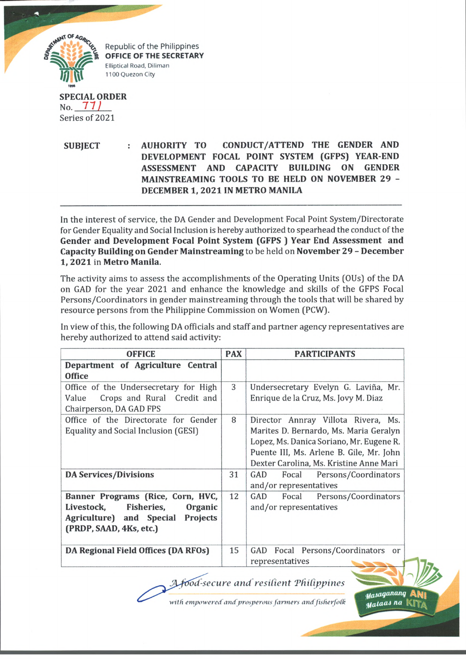

Republic of the Philippines **OFFICE OF THE SECRETARY** Elliptical Road, Diliman 1100 Quezon City

**SPECIAL ORDER** No. *1 1 )* Series of 2021

**SUBJECT : AUHORITY TO CONDUCT/ATTEND THE GENDER AND DEVELOPMENT FOCAL POINT SYSTEM (GFPS) YEAR-END ASSESSMENT AND CAPACITY BUILDING ON GENDER MAINSTREAMING TOOLS TO BE HELD ON NOVEMBER 29 - DECEMBER 1, 2021 IN METRO MANILA**

In the interest of service, the DA Gender and Development Focal Point System/Directorate for Gender Equality and Social Inclusion is hereby authorized to spearhead the conduct of the **Gender and Development Focal Point System (GFPS ) Year End Assessment and Capacity Building on Gender Mainstreaming** to be held on **November 29 - December 1, 2021** in **Metro Manila.**

The activity aims to assess the accomplishments of the Operating Units (OUs) of the DA on GAD for the year 2021 and enhance the knowledge and skills of the GFPS Focal Persons/Coordinators in gender mainstreaming through the tools that will be shared by resource persons from the Philippine Commission on Women (PCW).

In view of this, the following DA officials and staff and partner agency representatives are hereby authorized to attend said activity:

| <b>OFFICE</b>                              | <b>PAX</b> | <b>PARTICIPANTS</b>                      |
|--------------------------------------------|------------|------------------------------------------|
| Department of Agriculture Central          |            |                                          |
| <b>Office</b>                              |            |                                          |
| Office of the Undersecretary for High      | 3          | Undersecretary Evelyn G. Laviña, Mr.     |
| Crops and Rural Credit and<br>Value        |            | Enrique de la Cruz, Ms. Jovy M. Diaz     |
| Chairperson, DA GAD FPS                    |            |                                          |
| Office of the Directorate for Gender       | 8          | Director Annray Villota Rivera, Ms.      |
| Equality and Social Inclusion (GESI)       |            | Marites D. Bernardo, Ms. Maria Geralyn   |
|                                            |            | Lopez, Ms. Danica Soriano, Mr. Eugene R. |
|                                            |            | Puente III, Ms. Arlene B. Gile, Mr. John |
|                                            |            | Dexter Carolina, Ms. Kristine Anne Mari  |
| <b>DA Services/Divisions</b>               | 31         | GAD<br>Focal Persons/Coordinators        |
|                                            |            | and/or representatives                   |
| Banner Programs (Rice, Corn, HVC,          | 12         | GAD<br>Focal Persons/Coordinators        |
| <b>Fisheries,</b><br>Livestock,<br>Organic |            | and/or representatives                   |
| Agriculture) and Special Projects          |            |                                          |
| (PRDP, SAAD, 4Ks, etc.)                    |            |                                          |
|                                            |            |                                          |
| DA Regional Field Offices (DA RFOs)        | 15         | Focal Persons/Coordinators<br>GAD<br>or  |
|                                            |            | representatives                          |

*-secure and resilient "Philippines*

*■HlaH19anan9* A N| *<yalaai na* **W Ta**

with empowered and prosperous farmers and fisherfolk